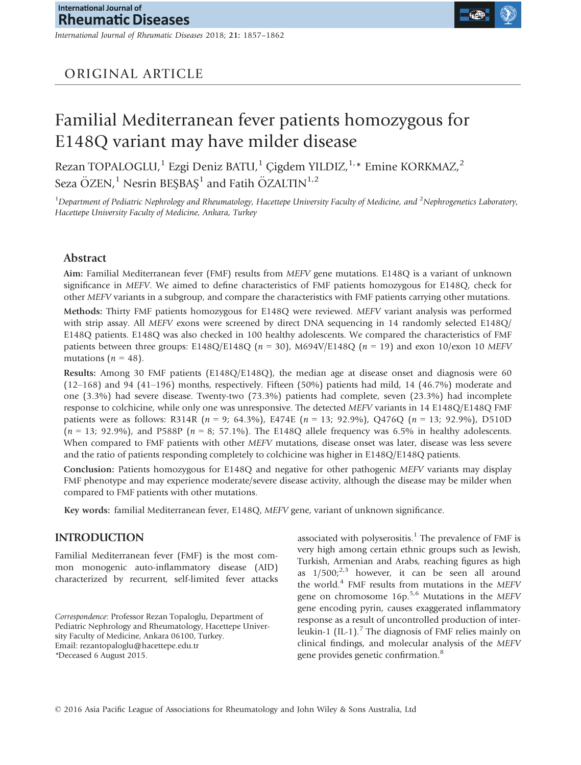*International Journal of Rheumatic Diseases* 2018; **21:** 1857–1862

# ORIGINAL ARTICLE

# Familial Mediterranean fever patients homozygous for E148Q variant may have milder disease

Rezan TOPALOGLU,<sup>1</sup> Ezgi Deniz BATU,<sup>1</sup> Çigdem YILDIZ,<sup>1,\*</sup> Emine KORKMAZ,<sup>2</sup> Seza ÖZEN,<sup>1</sup> Nesrin BEŞBAŞ<sup>1</sup> and Fatih ÖZALTIN<sup>1,2</sup>

<sup>1</sup>Department of Pediatric Nephrology and Rheumatology, Hacettepe University Faculty of Medicine, and <sup>2</sup>Nephrogenetics Laboratory, *Hacettepe University Faculty of Medicine, Ankara, Turkey*

## **Abstract**

**Aim:** Familial Mediterranean fever (FMF) results from *MEFV* gene mutations. E148Q is a variant of unknown significance in *MEFV*. We aimed to define characteristics of FMF patients homozygous for E148Q, check for other *MEFV* variants in a subgroup, and compare the characteristics with FMF patients carrying other mutations.

**Methods:** Thirty FMF patients homozygous for E148Q were reviewed. *MEFV* variant analysis was performed with strip assay. All *MEFV* exons were screened by direct DNA sequencing in 14 randomly selected E148Q/ E148Q patients. E148Q was also checked in 100 healthy adolescents. We compared the characteristics of FMF patients between three groups: E148Q/E148Q ( $n = 30$ ), M694V/E148Q ( $n = 19$ ) and exon 10/exon 10 *MEFV* mutations  $(n = 48)$ .

**Results:** Among 30 FMF patients (E148Q/E148Q), the median age at disease onset and diagnosis were 60 (12–168) and 94 (41–196) months, respectively. Fifteen (50%) patients had mild, 14 (46.7%) moderate and one (3.3%) had severe disease. Twenty-two (73.3%) patients had complete, seven (23.3%) had incomplete response to colchicine, while only one was unresponsive. The detected *MEFV* variants in 14 E148Q/E148Q FMF patients were as follows: R314R (*n* = 9; 64.3%), E474E (*n* = 13; 92.9%), Q476Q (*n* = 13; 92.9%), D510D (*n* = 13; 92.9%), and P588P (*n* = 8; 57.1%). The E148Q allele frequency was 6.5% in healthy adolescents. When compared to FMF patients with other *MEFV* mutations, disease onset was later, disease was less severe and the ratio of patients responding completely to colchicine was higher in E148Q/E148Q patients.

**Conclusion:** Patients homozygous for E148Q and negative for other pathogenic *MEFV* variants may display FMF phenotype and may experience moderate/severe disease activity, although the disease may be milder when compared to FMF patients with other mutations.

**Key words:** familial Mediterranean fever, E148Q, *MEFV* gene, variant of unknown significance.

## **INTRODUCTION**

Familial Mediterranean fever (FMF) is the most common monogenic auto-inflammatory disease (AID) characterized by recurrent, self-limited fever attacks

*Correspondence*: Professor Rezan Topaloglu, Department of Pediatric Nephrology and Rheumatology, Hacettepe University Faculty of Medicine, Ankara 06100, Turkey. Email: rezantopaloglu@hacettepe.edu.tr \*Deceased 6 August 2015.

associated with polyserositis.<sup>1</sup> The prevalence of FMF is very high among certain ethnic groups such as Jewish, Turkish, Armenian and Arabs, reaching figures as high as  $1/500$ ;<sup>2,3</sup> however, it can be seen all around the world.4 FMF results from mutations in the *MEFV* gene on chromosome 16p.5,6 Mutations in the *MEFV* gene encoding pyrin, causes exaggerated inflammatory response as a result of uncontrolled production of interleukin-1 (IL-1).<sup>7</sup> The diagnosis of FMF relies mainly on clinical findings, and molecular analysis of the *MEFV* gene provides genetic confirmation.<sup>8</sup>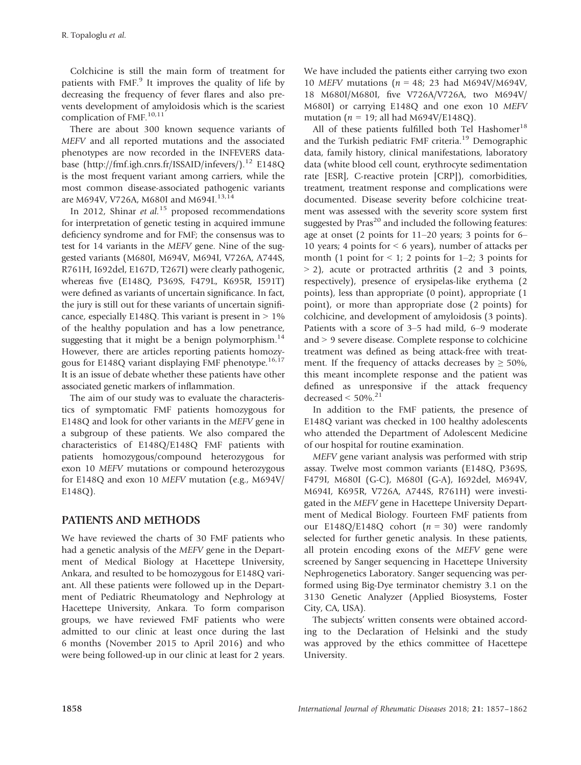Colchicine is still the main form of treatment for patients with  $FMF<sup>9</sup>$  It improves the quality of life by decreasing the frequency of fever flares and also prevents development of amyloidosis which is the scariest complication of FMF.<sup>10,11</sup>

There are about 300 known sequence variants of *MEFV* and all reported mutations and the associated phenotypes are now recorded in the INFEVERS database (<http://fmf.igh.cnrs.fr/ISSAID/infevers/>).<sup>12</sup> E148Q is the most frequent variant among carriers, while the most common disease-associated pathogenic variants are M694V, V726A, M680I and M694I.<sup>13,14</sup>

In 2012, Shinar *et al.*<sup>15</sup> proposed recommendations for interpretation of genetic testing in acquired immune deficiency syndrome and for FMF; the consensus was to test for 14 variants in the *MEFV* gene. Nine of the suggested variants (M680I, M694V, M694I, V726A, A744S, R761H, I692del, E167D, T267I) were clearly pathogenic, whereas five (E148Q, P369S, F479L, K695R, I591T) were defined as variants of uncertain significance. In fact, the jury is still out for these variants of uncertain significance, especially E148Q. This variant is present in  $> 1\%$ of the healthy population and has a low penetrance, suggesting that it might be a benign polymorphism. $^{14}$ However, there are articles reporting patients homozygous for E148Q variant displaying FMF phenotype.<sup>16,17</sup> It is an issue of debate whether these patients have other associated genetic markers of inflammation.

The aim of our study was to evaluate the characteristics of symptomatic FMF patients homozygous for E148Q and look for other variants in the *MEFV* gene in a subgroup of these patients. We also compared the characteristics of E148Q/E148Q FMF patients with patients homozygous/compound heterozygous for exon 10 *MEFV* mutations or compound heterozygous for E148Q and exon 10 *MEFV* mutation (e.g., M694V/ E148Q).

# **PATIENTS AND METHODS**

We have reviewed the charts of 30 FMF patients who had a genetic analysis of the *MEFV* gene in the Department of Medical Biology at Hacettepe University, Ankara, and resulted to be homozygous for E148Q variant. All these patients were followed up in the Department of Pediatric Rheumatology and Nephrology at Hacettepe University, Ankara. To form comparison groups, we have reviewed FMF patients who were admitted to our clinic at least once during the last 6 months (November 2015 to April 2016) and who were being followed-up in our clinic at least for 2 years.

We have included the patients either carrying two exon 10 *MEFV* mutations (*n* = 48; 23 had M694V/M694V, 18 M680I/M680I, five V726A/V726A, two M694V/ M680I) or carrying E148Q and one exon 10 *MEFV* mutation (*n* = 19; all had M694V/E148Q).

All of these patients fulfilled both Tel Hashomer<sup>18</sup> and the Turkish pediatric FMF criteria.<sup>19</sup> Demographic data, family history, clinical manifestations, laboratory data (white blood cell count, erythrocyte sedimentation rate [ESR], C-reactive protein [CRP]), comorbidities, treatment, treatment response and complications were documented. Disease severity before colchicine treatment was assessed with the severity score system first suggested by  $Pras^{20}$  and included the following features: age at onset (2 points for 11–20 years; 3 points for 6– 10 years; 4 points for ˂ 6 years), number of attacks per month (1 point for  $\leq 1$ ; 2 points for 1–2; 3 points for  $>$  2), acute or protracted arthritis (2 and 3 points, respectively), presence of erysipelas-like erythema (2 points), less than appropriate (0 point), appropriate (1 point), or more than appropriate dose (2 points) for colchicine, and development of amyloidosis (3 points). Patients with a score of 3–5 had mild, 6–9 moderate and  $> 9$  severe disease. Complete response to colchicine treatment was defined as being attack-free with treatment. If the frequency of attacks decreases by  $\geq 50\%$ , this meant incomplete response and the patient was defined as unresponsive if the attack frequency decreased  $<$  50%.<sup>21</sup>

In addition to the FMF patients, the presence of E148Q variant was checked in 100 healthy adolescents who attended the Department of Adolescent Medicine of our hospital for routine examination.

*MEFV* gene variant analysis was performed with strip assay. Twelve most common variants (E148Q, P369S, F479I, M680I (G-C), M680I (G-A), I692del, M694V, M694I, K695R, V726A, A744S, R761H) were investigated in the *MEFV* gene in Hacettepe University Department of Medical Biology. Fourteen FMF patients from our E148Q/E148Q cohort  $(n = 30)$  were randomly selected for further genetic analysis. In these patients, all protein encoding exons of the *MEFV* gene were screened by Sanger sequencing in Hacettepe University Nephrogenetics Laboratory. Sanger sequencing was performed using Big-Dye terminator chemistry 3.1 on the 3130 Genetic Analyzer (Applied Biosystems, Foster City, CA, USA).

The subjects' written consents were obtained according to the Declaration of Helsinki and the study was approved by the ethics committee of Hacettepe University.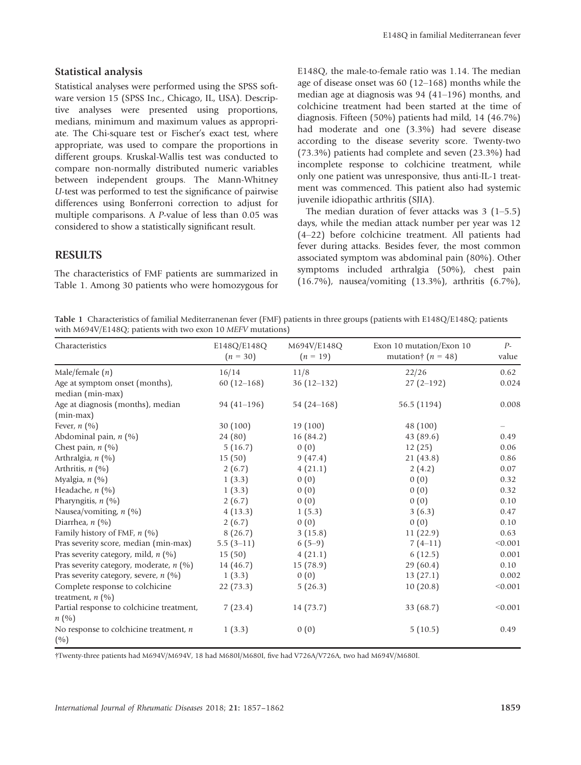#### **Statistical analysis**

Statistical analyses were performed using the SPSS software version 15 (SPSS Inc., Chicago, IL, USA). Descriptive analyses were presented using proportions, medians, minimum and maximum values as appropriate. The Chi-square test or Fischer's exact test, where appropriate, was used to compare the proportions in different groups. Kruskal-Wallis test was conducted to compare non-normally distributed numeric variables between independent groups. The Mann-Whitney *U*-test was performed to test the significance of pairwise differences using Bonferroni correction to adjust for multiple comparisons. A *P*-value of less than 0.05 was considered to show a statistically significant result.

#### **RESULTS**

The characteristics of FMF patients are summarized in Table 1. Among 30 patients who were homozygous for E148Q, the male-to-female ratio was 1.14. The median age of disease onset was 60 (12–168) months while the median age at diagnosis was 94 (41–196) months, and colchicine treatment had been started at the time of diagnosis. Fifteen (50%) patients had mild, 14 (46.7%) had moderate and one (3.3%) had severe disease according to the disease severity score. Twenty-two (73.3%) patients had complete and seven (23.3%) had incomplete response to colchicine treatment, while only one patient was unresponsive, thus anti-IL-1 treatment was commenced. This patient also had systemic juvenile idiopathic arthritis (SJIA).

The median duration of fever attacks was 3 (1–5.5) days, while the median attack number per year was 12 (4–22) before colchicine treatment. All patients had fever during attacks. Besides fever, the most common associated symptom was abdominal pain (80%). Other symptoms included arthralgia (50%), chest pain (16.7%), nausea/vomiting (13.3%), arthritis (6.7%),

**Table 1** Characteristics of familial Mediterranenan fever (FMF) patients in three groups (patients with E148Q/E148Q; patients with M694V/E148Q; patients with two exon 10 *MEFV* mutations)

| Characteristics                                       | E148Q/E148Q<br>$(n = 30)$ | M694V/E148Q<br>$(n = 19)$ | Exon 10 mutation/Exon 10<br>mutation $\uparrow$ ( <i>n</i> = 48) | $P-$<br>value |
|-------------------------------------------------------|---------------------------|---------------------------|------------------------------------------------------------------|---------------|
| Male/female $(n)$                                     | 16/14                     | 11/8                      | 22/26                                                            | 0.62          |
| Age at symptom onset (months),<br>median (min-max)    | $60(12-168)$              | $36(12-132)$              | $27(2-192)$                                                      | 0.024         |
| Age at diagnosis (months), median<br>$(min-max)$      | $94(41-196)$              | 54 $(24 - 168)$           | 56.5 (1194)                                                      | 0.008         |
| Fever, $n$ (%)                                        | 30(100)                   | 19 (100)                  | 48 (100)                                                         |               |
| Abdominal pain, $n$ (%)                               | 24 (80)                   | 16(84.2)                  | 43(89.6)                                                         | 0.49          |
| Chest pain, $n$ (%)                                   | 5(16.7)                   | 0(0)                      | 12(25)                                                           | 0.06          |
| Arthralgia, $n$ (%)                                   | 15(50)                    | 9(47.4)                   | 21(43.8)                                                         | 0.86          |
| Arthritis, $n$ (%)                                    | 2(6.7)                    | 4(21.1)                   | 2(4.2)                                                           | 0.07          |
| Myalgia, $n$ (%)                                      | 1(3.3)                    | 0(0)                      | 0(0)                                                             | 0.32          |
| Headache, n (%)                                       | 1(3.3)                    | 0(0)                      | 0(0)                                                             | 0.32          |
| Pharyngitis, $n$ (%)                                  | 2(6.7)                    | 0(0)                      | 0(0)                                                             | 0.10          |
| Nausea/vomiting, $n$ (%)                              | 4(13.3)                   | 1(5.3)                    | 3(6.3)                                                           | 0.47          |
| Diarrhea, $n$ (%)                                     | 2(6.7)                    | 0(0)                      | 0(0)                                                             | 0.10          |
| Family history of FMF, $n$ (%)                        | 8(26.7)                   | 3(15.8)                   | 11(22.9)                                                         | 0.63          |
| Pras severity score, median (min-max)                 | $5.5(3-11)$               | $6(5-9)$                  | $7(4-11)$                                                        | < 0.001       |
| Pras severity category, mild, $n$ (%)                 | 15(50)                    | 4(21.1)                   | 6(12.5)                                                          | 0.001         |
| Pras severity category, moderate, n (%)               | 14(46.7)                  | 15(78.9)                  | 29(60.4)                                                         | 0.10          |
| Pras severity category, severe, $n$ (%)               | 1(3.3)                    | 0(0)                      | 13(27.1)                                                         | 0.002         |
| Complete response to colchicine<br>treatment, $n$ (%) | 22(73.3)                  | 5(26.3)                   | 10(20.8)                                                         | < 0.001       |
| Partial response to colchicine treatment,<br>n(%)     | 7(23.4)                   | 14 (73.7)                 | 33 (68.7)                                                        | < 0.001       |
| No response to colchicine treatment, $n$<br>(%)       | 1(3.3)                    | 0(0)                      | 5(10.5)                                                          | 0.49          |

†Twenty-three patients had M694V/M694V, 18 had M680I/M680I, five had V726A/V726A, two had M694V/M680I.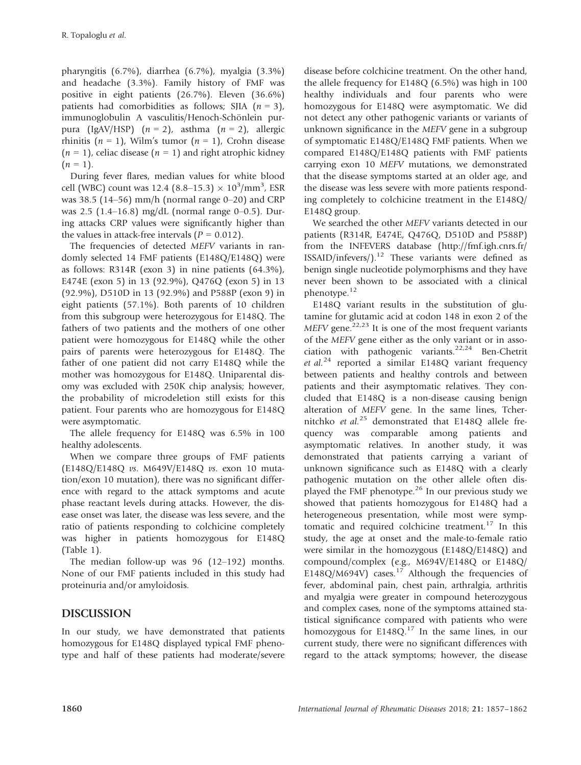pharyngitis (6.7%), diarrhea (6.7%), myalgia (3.3%) and headache (3.3%). Family history of FMF was positive in eight patients (26.7%). Eleven (36.6%) patients had comorbidities as follows; SJIA (*n* = 3), immunoglobulin A vasculitis/Henoch-Schönlein purpura (IgAV/HSP) (*n* = 2), asthma (*n* = 2), allergic rhinitis  $(n = 1)$ , Wilm's tumor  $(n = 1)$ , Crohn disease  $(n = 1)$ , celiac disease  $(n = 1)$  and right atrophic kidney  $(n = 1)$ .

During fever flares, median values for white blood cell (WBC) count was 12.4 (8.8–15.3)  $\times 10^3/\text{mm}^3$ , ESR was 38.5 (14–56) mm/h (normal range  $0-20$ ) and CRP was 2.5 (1.4–16.8) mg/dL (normal range 0–0.5). During attacks CRP values were significantly higher than the values in attack-free intervals  $(P = 0.012)$ .

The frequencies of detected *MEFV* variants in randomly selected 14 FMF patients (E148Q/E148Q) were as follows: R314R (exon 3) in nine patients (64.3%), E474E (exon 5) in 13 (92.9%), Q476Q (exon 5) in 13 (92.9%), D510D in 13 (92.9%) and P588P (exon 9) in eight patients (57.1%). Both parents of 10 children from this subgroup were heterozygous for E148Q. The fathers of two patients and the mothers of one other patient were homozygous for E148Q while the other pairs of parents were heterozygous for E148Q. The father of one patient did not carry E148Q while the mother was homozygous for E148Q. Uniparental disomy was excluded with 250K chip analysis; however, the probability of microdeletion still exists for this patient. Four parents who are homozygous for E148Q were asymptomatic.

The allele frequency for E148Q was 6.5% in 100 healthy adolescents.

When we compare three groups of FMF patients (E148Q/E148Q *vs*. M649V/E148Q *vs*. exon 10 mutation/exon 10 mutation), there was no significant difference with regard to the attack symptoms and acute phase reactant levels during attacks. However, the disease onset was later, the disease was less severe, and the ratio of patients responding to colchicine completely was higher in patients homozygous for E148Q (Table 1).

The median follow-up was 96 (12–192) months. None of our FMF patients included in this study had proteinuria and/or amyloidosis.

# **DISCUSSION**

In our study, we have demonstrated that patients homozygous for E148Q displayed typical FMF phenotype and half of these patients had moderate/severe disease before colchicine treatment. On the other hand, the allele frequency for E148Q (6.5%) was high in 100 healthy individuals and four parents who were homozygous for E148Q were asymptomatic. We did not detect any other pathogenic variants or variants of unknown significance in the *MEFV* gene in a subgroup of symptomatic E148Q/E148Q FMF patients. When we compared E148Q/E148Q patients with FMF patients carrying exon 10 *MEFV* mutations, we demonstrated that the disease symptoms started at an older age, and the disease was less severe with more patients responding completely to colchicine treatment in the E148Q/ E148Q group.

We searched the other *MEFV* variants detected in our patients (R314R, E474E, Q476Q, D510D and P588P) from the INFEVERS database ([http://fmf.igh.cnrs.fr/](http://fmf.igh.cnrs.fr/ISSAID/infevers/)  $ISSAID/infevers/$ <sup>12</sup> These variants were defined as benign single nucleotide polymorphisms and they have never been shown to be associated with a clinical phenotype.<sup>12</sup>

E148Q variant results in the substitution of glutamine for glutamic acid at codon 148 in exon 2 of the  $MEFV$  gene.<sup>22,23</sup> It is one of the most frequent variants of the *MEFV* gene either as the only variant or in association with pathogenic variants.<sup>22,24</sup> Ben-Chetrit *et al.*<sup>24</sup> reported a similar E148Q variant frequency between patients and healthy controls and between patients and their asymptomatic relatives. They concluded that E148Q is a non-disease causing benign alteration of *MEFV* gene. In the same lines, Tchernitchko *et al.*<sup>25</sup> demonstrated that E148Q allele frequency was comparable among patients and asymptomatic relatives. In another study, it was demonstrated that patients carrying a variant of unknown significance such as E148Q with a clearly pathogenic mutation on the other allele often displayed the FMF phenotype.<sup>26</sup> In our previous study we showed that patients homozygous for E148Q had a heterogeneous presentation, while most were symptomatic and required colchicine treatment.<sup>17</sup> In this study, the age at onset and the male-to-female ratio were similar in the homozygous (E148Q/E148Q) and compound/complex (e.g., M694V/E148Q or E148Q/ E148Q/M694V) cases.<sup>17</sup> Although the frequencies of fever, abdominal pain, chest pain, arthralgia, arthritis and myalgia were greater in compound heterozygous and complex cases, none of the symptoms attained statistical significance compared with patients who were homozygous for  $E148Q$ <sup>17</sup> In the same lines, in our current study, there were no significant differences with regard to the attack symptoms; however, the disease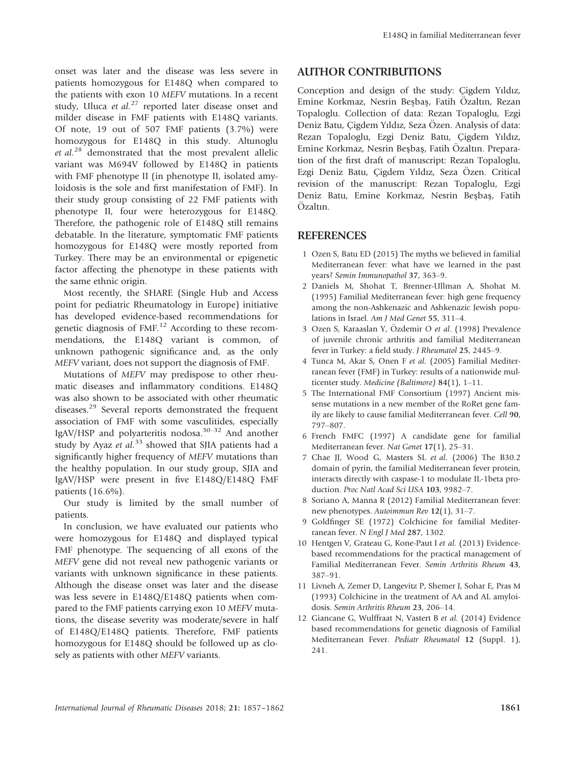onset was later and the disease was less severe in patients homozygous for E148Q when compared to the patients with exon 10 *MEFV* mutations. In a recent study, Uluca et al.<sup>27</sup> reported later disease onset and milder disease in FMF patients with E148Q variants. Of note, 19 out of 507 FMF patients (3.7%) were homozygous for E148Q in this study. Altunoglu *et al.*<sup>28</sup> demonstrated that the most prevalent allelic variant was M694V followed by E148Q in patients with FMF phenotype II (in phenotype II, isolated amyloidosis is the sole and first manifestation of FMF). In their study group consisting of 22 FMF patients with phenotype II, four were heterozygous for E148Q. Therefore, the pathogenic role of E148Q still remains debatable. In the literature, symptomatic FMF patients homozygous for E148Q were mostly reported from Turkey. There may be an environmental or epigenetic factor affecting the phenotype in these patients with the same ethnic origin.

Most recently, the SHARE (Single Hub and Access point for pediatric Rheumatology in Europe) initiative has developed evidence-based recommendations for genetic diagnosis of FMF.<sup>12</sup> According to these recommendations, the E148Q variant is common, of unknown pathogenic significance and, as the only *MEFV* variant, does not support the diagnosis of FMF.

Mutations of *MEFV* may predispose to other rheumatic diseases and inflammatory conditions. E148Q was also shown to be associated with other rheumatic diseases.<sup>29</sup> Several reports demonstrated the frequent association of FMF with some vasculitides, especially IgAV/HSP and polyarteritis nodosa.<sup>30–32</sup> And another study by Ayaz *et al.*<sup>33</sup> showed that SJIA patients had a significantly higher frequency of *MEFV* mutations than the healthy population. In our study group, SJIA and IgAV/HSP were present in five E148Q/E148Q FMF patients (16.6%).

Our study is limited by the small number of patients.

In conclusion, we have evaluated our patients who were homozygous for E148Q and displayed typical FMF phenotype. The sequencing of all exons of the *MEFV* gene did not reveal new pathogenic variants or variants with unknown significance in these patients. Although the disease onset was later and the disease was less severe in E148Q/E148Q patients when compared to the FMF patients carrying exon 10 *MEFV* mutations, the disease severity was moderate/severe in half of E148Q/E148Q patients. Therefore, FMF patients homozygous for E148Q should be followed up as closely as patients with other *MEFV* variants.

#### **AUTHOR CONTRIBUTIONS**

Conception and design of the study: Çigdem Yıldız, Emine Korkmaz, Nesrin Besbas, Fatih Özaltın, Rezan Topaloglu. Collection of data: Rezan Topaloglu, Ezgi Deniz Batu, Çigdem Yıldız, Seza Özen. Analysis of data: Rezan Topaloglu, Ezgi Deniz Batu, Çigdem Yıldız, Emine Korkmaz, Nesrin Beşbaş, Fatih Özaltın. Preparation of the first draft of manuscript: Rezan Topaloglu, Ezgi Deniz Batu, Çigdem Yıldız, Seza Özen. Critical revision of the manuscript: Rezan Topaloglu, Ezgi Deniz Batu, Emine Korkmaz, Nesrin Besbas, Fatih Özaltın.

#### **REFERENCES**

- 1 Ozen S, Batu ED (2015) The myths we believed in familial Mediterranean fever: what have we learned in the past years? *Semin Immunopathol* **37**, 363–9.
- 2 Daniels M, Shohat T, Brenner-Ullman A, Shohat M. (1995) Familial Mediterranean fever: high gene frequency among the non-Ashkenazic and Ashkenazic Jewish populations in Israel. *Am J Med Genet* **55**, 311–4.
- 3 Ozen S, Karaaslan Y, Özdemir O et al. (1998) Prevalence of juvenile chronic arthritis and familial Mediterranean fever in Turkey: a field study. *J Rheumatol* **25**, 2445–9.
- 4 Tunca M, Akar S, Onen F *et al.* (2005) Familial Mediterranean fever (FMF) in Turkey: results of a nationwide multicenter study. *Medicine (Baltimore)* **84**(1), 1–11.
- 5 The International FMF Consortium (1997) Ancient missense mutations in a new member of the RoRet gene family are likely to cause familial Mediterranean fever. *Cell* **90**, 797–807.
- 6 French FMFC (1997) A candidate gene for familial Mediterranean fever. *Nat Genet* **17**(1), 25–31.
- 7 Chae JJ, Wood G, Masters SL *et al.* (2006) The B30.2 domain of pyrin, the familial Mediterranean fever protein, interacts directly with caspase-1 to modulate IL-1beta production. *Proc Natl Acad Sci USA* **103**, 9982–7.
- 8 Soriano A, Manna R (2012) Familial Mediterranean fever: new phenotypes. *Autoimmun Rev* **12**(1), 31–7.
- 9 Goldfinger SE (1972) Colchicine for familial Mediterranean fever. *N Engl J Med* **287**, 1302.
- 10 Hentgen V, Grateau G, Kone-Paut I *et al.* (2013) Evidencebased recommendations for the practical management of Familial Mediterranean Fever. *Semin Arthritis Rheum* **43**, 387–91.
- 11 Livneh A, Zemer D, Langevitz P, Shemer J, Sohar E, Pras M (1993) Colchicine in the treatment of AA and AL amyloidosis. *Semin Arthritis Rheum* **23**, 206–14.
- 12 Giancane G, Wulffraat N, Vastert B *et al.* (2014) Evidence based recommendations for genetic diagnosis of Familial Mediterranean Fever. *Pediatr Rheumatol* **12** (Suppl. 1), 241.